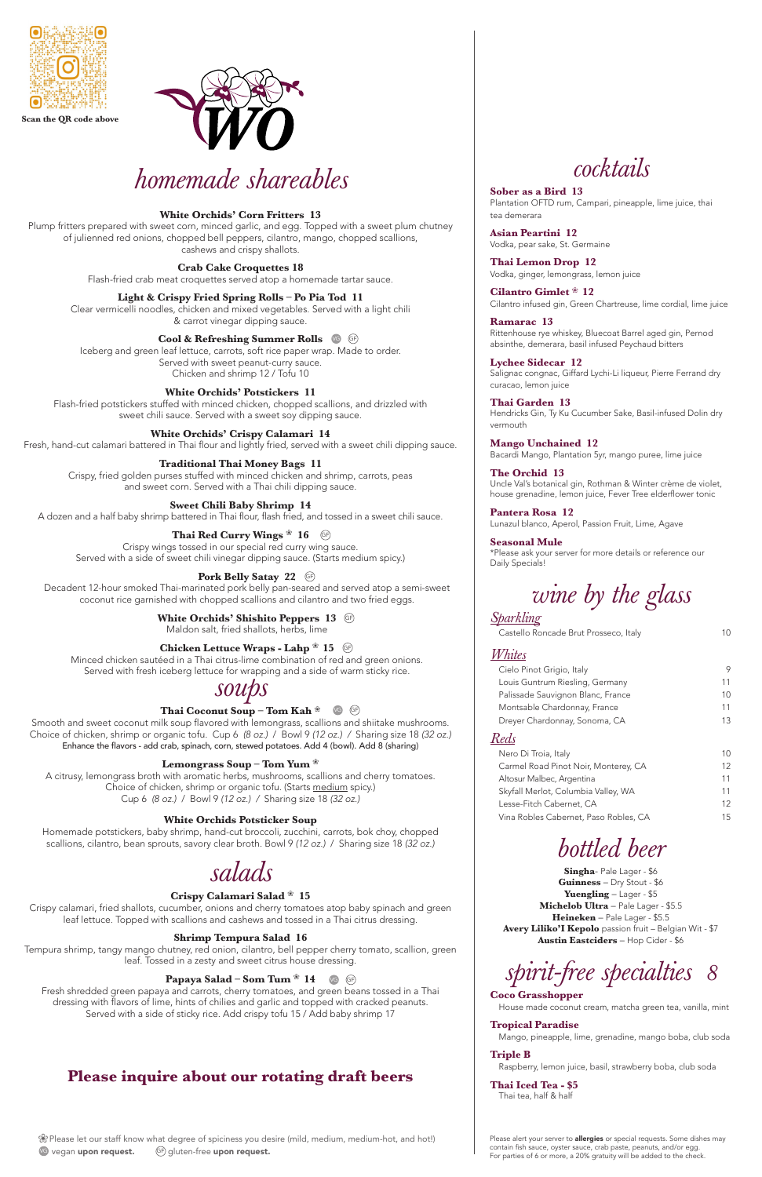## *cocktails*

**Sober as a Bird 13** Plantation OFTD rum, Campari, pineapple, lime juice, thai tea demerara

**Asian Peartini 12** Vodka, pear sake, St. Germaine

**Thai Lemon Drop 12** Vodka, ginger, lemongrass, lemon juice

**Cilantro Gimlet** ❀ **12** Cilantro infused gin, Green Chartreuse, lime cordial, lime juice

**Ramarac 13** Rittenhouse rye whiskey, Bluecoat Barrel aged gin, Pernod absinthe, demerara, basil infused Peychaud bitters

**Lychee Sidecar 12** Salignac congnac, Giffard Lychi-Li liqueur, Pierre Ferrand dry curacao, lemon juice

**Thai Garden 13** Hendricks Gin, Ty Ku Cucumber Sake, Basil-infused Dolin dry vermouth

**Mango Unchained 12** Bacardi Mango, Plantation 5yr, mango puree, lime juice

**The Orchid 13** Uncle Val's botanical gin, Rothman & Winter crème de violet, house grenadine, lemon juice, Fever Tree elderflower tonic

**Pantera Rosa 12** Lunazul blanco, Aperol, Passion Fruit, Lime, Agave

### **Seasonal Mule**

\*Please ask your server for more details or reference our Daily Specials!

# *wine by the glass*

### *Sparkling*

Castello Roncade Brut Prosseco, Italy 10

### *Whites*

| Cielo Pinot Grigio, Italy             | 9                 |
|---------------------------------------|-------------------|
| Louis Guntrum Riesling, Germany       | 11                |
| Palissade Sauvignon Blanc, France     | 10                |
| Montsable Chardonnay, France          | 11                |
| Dreyer Chardonnay, Sonoma, CA         | 13                |
|                                       |                   |
| Nero Di Troia, Italy                  | 10                |
| Carmel Road Pinot Noir, Monterey, CA  | 12                |
| Altosur Malbec, Argentina             | 11                |
| Skyfall Merlot, Columbia Valley, WA   | 11                |
| Lesse-Fitch Cabernet, CA              | $12 \overline{ }$ |
| Vina Robles Cabernet, Paso Robles, CA | 15                |

*bottled beer* 

**Singha**- Pale Lager - \$6 **Guinness** – Dry Stout - \$6 **Yuengling** – Lager - \$5 **Michelob Ultra** – Pale Lager - \$5.5 **Heineken** – Pale Lager - \$5.5 **Avery Liliko'I Kepolo** passion fruit – Belgian Wit - \$7 **Austin Eastciders** – Hop Cider - \$6



### **Coco Grasshopper**

House made coconut cream, matcha green tea, vanilla, mint

### **Tropical Paradise**

Mango, pineapple, lime, grenadine, mango boba, club soda

### **Triple B**

Raspberry, lemon juice, basil, strawberry boba, club soda

**Thai Iced Tea - \$5** Thai tea, half & half

### *soups*

### **Thai Coconut Soup – Tom Kah**  $\text{\%}$  **Geg**

Smooth and sweet coconut milk soup flavored with lemongrass, scallions and shiitake mushrooms. Choice of chicken, shrimp or organic tofu. Cup 6 *(8 oz.)* / Bowl 9 *(12 oz.) /* Sharing size 18 *(32 oz.)* Enhance the flavors - add crab, spinach, corn, stewed potatoes. Add 4 (bowl). Add 8 (sharing)

### **Lemongrass Soup – Tom Yum** ❀

A citrusy, lemongrass broth with aromatic herbs, mushrooms, scallions and cherry tomatoes. Choice of chicken, shrimp or organic tofu. (Starts medium spicy.) Cup 6 *(8 oz.)* / Bowl 9 *(12 oz.) /* Sharing size 18 *(32 oz.)*

### **White Orchids Potsticker Soup**

Homemade potstickers, baby shrimp, hand-cut broccoli, zucchini, carrots, bok choy, chopped scallions, cilantro, bean sprouts, savory clear broth. Bowl 9 *(12 oz.)* / Sharing size 18 *(32 oz.)*



### *salads*

### **Crispy Calamari Salad** ❀ **15**

Crispy calamari, fried shallots, cucumber, onions and cherry tomatoes atop baby spinach and green leaf lettuce. Topped with scallions and cashews and tossed in a Thai citrus dressing.

### **Shrimp Tempura Salad 16**

Tempura shrimp, tangy mango chutney, red onion, cilantro, bell pepper cherry tomato, scallion, green leaf. Tossed in a zesty and sweet citrus house dressing.

Fresh shredded green papaya and carrots, cherry tomatoes, and green beans tossed in a Thai dressing with flavors of lime, hints of chilies and garlic and topped with cracked peanuts. Served with a side of sticky rice. Add crispy tofu 15 / Add baby shrimp 17

# *homemade shareables*

### **White Orchids' Corn Fritters 13**

Plump fritters prepared with sweet corn, minced garlic, and egg. Topped with a sweet plum chutney of julienned red onions, chopped bell peppers, cilantro, mango, chopped scallions, cashews and crispy shallots.

### **Crab Cake Croquettes 18**

Flash-fried crab meat croquettes served atop a homemade tartar sauce.

### **Light & Crispy Fried Spring Rolls – Po Pia Tod 11**

Clear vermicelli noodles, chicken and mixed vegetables. Served with a light chili & carrot vinegar dipping sauce.

### **Cool & Refreshing Summer Rolls**  $\bullet$  GF

Iceberg and green leaf lettuce, carrots, soft rice paper wrap. Made to order. Served with sweet peanut-curry sauce. Chicken and shrimp 12 / Tofu 10

### **White Orchids' Potstickers 11**

Flash-fried potstickers stuffed with minced chicken, chopped scallions, and drizzled with sweet chili sauce. Served with a sweet soy dipping sauce.

### **White Orchids' Crispy Calamari 14**

Fresh, hand-cut calamari battered in Thai flour and lightly fried, served with a sweet chili dipping sauce.

### **Traditional Thai Money Bags 11**

### **Papaya Salad – Som Tum** ❀ **14** VG GF

Crispy, fried golden purses stuffed with minced chicken and shrimp, carrots, peas and sweet corn. Served with a Thai chili dipping sauce.

### **Sweet Chili Baby Shrimp 14**

A dozen and a half baby shrimp battered in Thai flour, flash fried, and tossed in a sweet chili sauce.

Crispy wings tossed in our special red curry wing sauce. Served with a side of sweet chili vinegar dipping sauce. (Starts medium spicy.)

Decadent 12-hour smoked Thai-marinated pork belly pan-seared and served atop a semi-sweet coconut rice garnished with chopped scallions and cilantro and two fried eggs.

### **White Orchids' Shishito Peppers 13** GF

Maldon salt, fried shallots, herbs, lime

### **Thai Red Curry Wings** ❀ **16** GF

Minced chicken sautéed in a Thai citrus-lime combination of red and green onions. Served with fresh iceberg lettuce for wrapping and a side of warm sticky rice.

### **Pork Belly Satay 22** GF

### **Chicken Lettuce Wraps - Lahp** ❀ **15** GF

contain fish sauce, oyster sauce, crab paste, peanuts, and/or egg. For parties of 6 or more, a 20% gratuity will be added to the check.



**Scan the QR code above**



### **Please inquire about our rotating draft beers**

**<sup></sup> Please let our staff know what degree of spiciness you desire (mild, medium, medium-hot, and hot!)** Please alert your server to **allergies** or special requests. Some dishes may GF) gluten-free upon request. VG vegan upon request.